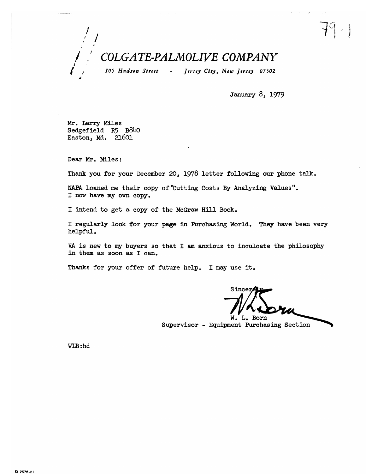## COLGATE-PALMOLIVE COMPANY

105 Hudson Street -Jersey City, New Jersey 07302

January 8, 1979

Mr. Larry Miles Sedgefield R5 B840 Easton, Md. 21601

Dear Mr. Miles:

Thank you for your December 20, 1978 letter following our phone talk.

NAPA loaned me their copy of "Cutting Costs By Analyzing Values". I now have my own copy.

I intend to get a copy of the McGraw Hill Book.

I regularly look for your page in Purchasing World. They have been very helpful.

VA is new to my buyers so that I am anxious to inculcate the philosophy in them as soon as I can.

Thanks for your offer of future help. I may use it.

Sincer

W. L. Born Supervisor - Equipment Purchasing Section

WLB:hd